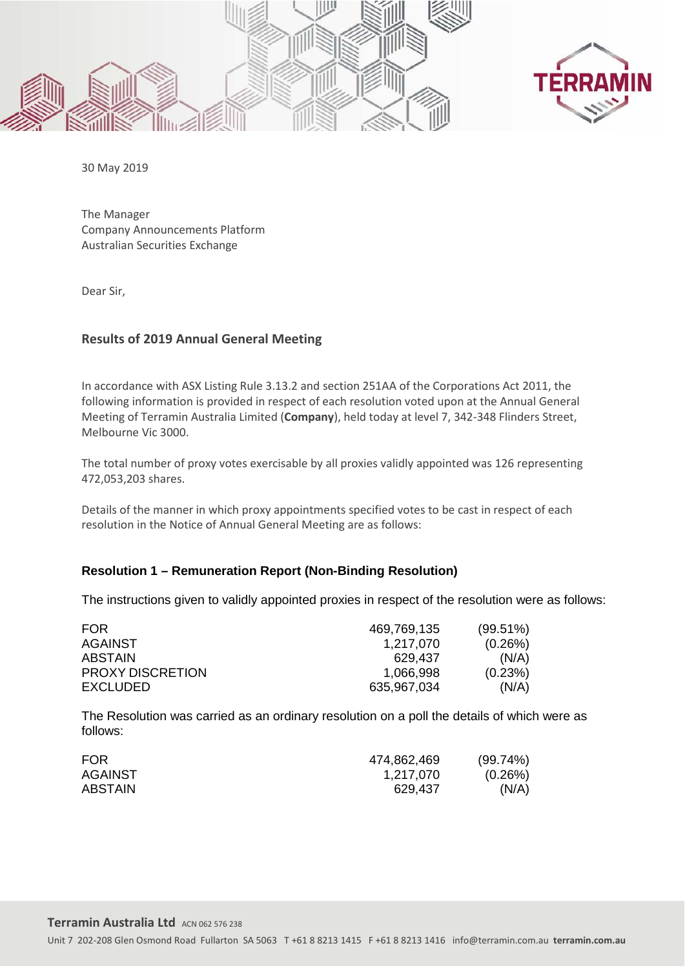



30 May 2019

The Manager Company Announcements Platform Australian Securities Exchange

Dear Sir,

## **Results of 2019 Annual General Meeting**

In accordance with ASX Listing Rule 3.13.2 and section 251AA of the Corporations Act 2011, the following information is provided in respect of each resolution voted upon at the Annual General Meeting of Terramin Australia Limited (**Company**), held today at level 7, 342-348 Flinders Street, Melbourne Vic 3000.

The total number of proxy votes exercisable by all proxies validly appointed was 126 representing 472,053,203 shares.

Details of the manner in which proxy appointments specified votes to be cast in respect of each resolution in the Notice of Annual General Meeting are as follows:

## **Resolution 1 – Remuneration Report (Non-Binding Resolution)**

The instructions given to validly appointed proxies in respect of the resolution were as follows:

| 469,769,135 | $(99.51\%)$ |
|-------------|-------------|
| 1,217,070   | (0.26%)     |
| 629.437     | (N/A)       |
| 1.066.998   | (0.23%)     |
| 635,967,034 | (N/A)       |
|             |             |

The Resolution was carried as an ordinary resolution on a poll the details of which were as follows:

| FOR.           | 474,862,469 | $(99.74\%)$ |
|----------------|-------------|-------------|
| <b>AGAINST</b> | 1,217,070   | (0.26%)     |
| <b>ABSTAIN</b> | 629,437     | (N/A)       |